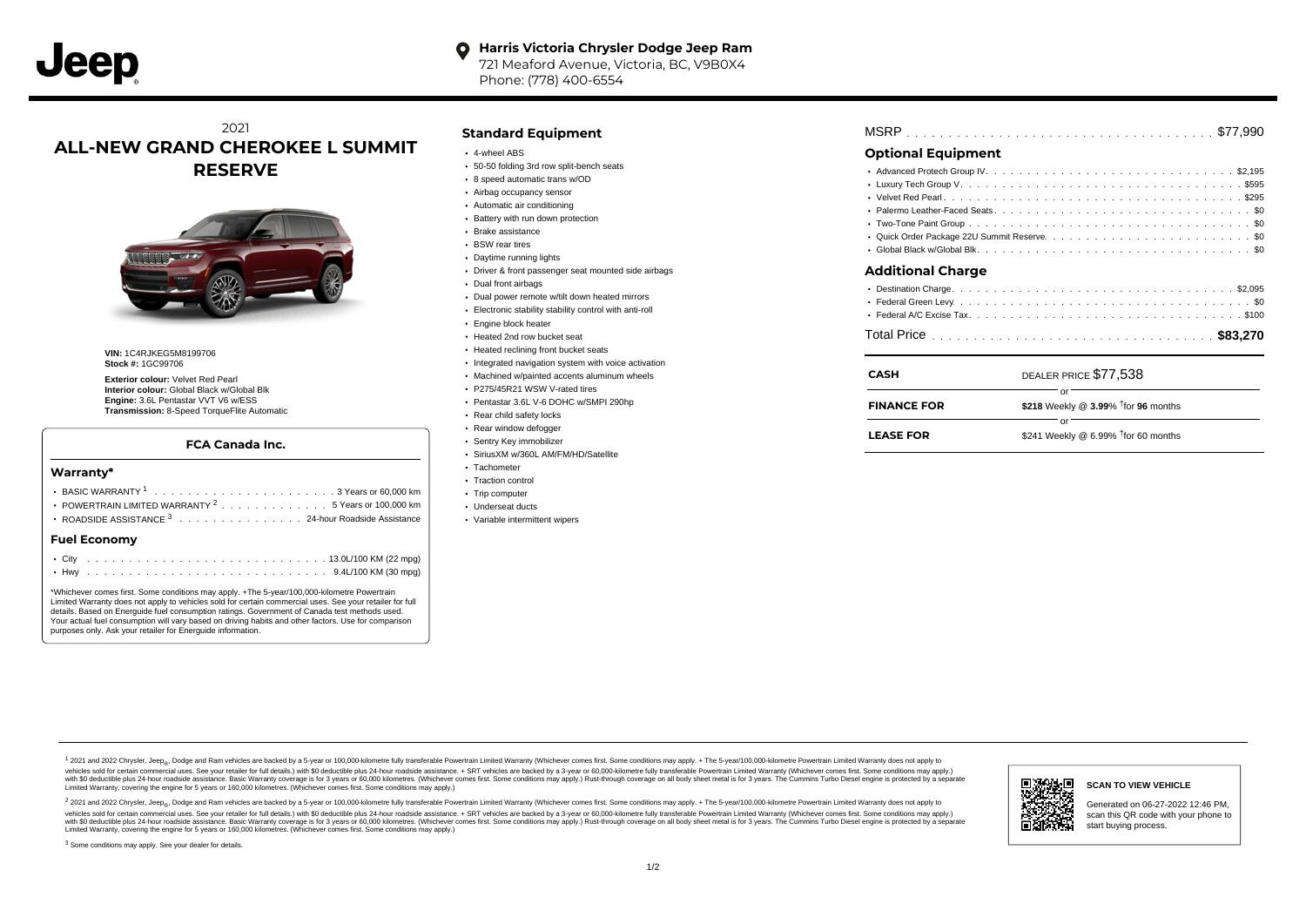#### **Harris Victoria Chrysler Dodge Jeep Ram** O

721 Meaford Avenue, Victoria, BC, V9B0X4 Phone: (778) 400-6554

### 2021 **ALL-NEW GRAND CHEROKEE L SUMMIT RESERVE**



**VIN:** 1C4RJKEG5M8199706 **Stock #:** 1GC99706

**Exterior colour:** Velvet Red Pearl **Interior colour:** Global Black w/Global Blk **Engine:** 3.6L Pentastar VVT V6 w/ESS **Transmission:** 8-Speed TorqueFlite Automatic

#### **FCA Canada Inc.**

### BASIC WARRANTY  $1, \ldots, \ldots, \ldots, \ldots, \ldots, \ldots, \ldots, \ldots, \ldots$  . . . . . . . . . 60,000 km POWERTRAIN LIMITED WARRANTY  $2, \ldots, \ldots, \ldots, \ldots, 5$  Years or 100,000 km ROADSIDE ASSISTANCE 3 . . . . . . . . . . . . . . . 24-hour Roadside Assistance . . . . . . . . . . . . . . . . . . . . . . . . . . . . . . . . . . . . . . . . . . . City 13.0L/100 KM (22 mpg) . . . . . . . . . . . . . . . . . . . . . . . . . . . . . . . . . . . . . . . . . . . Hwy 9.4L/100 KM (30 mpg) **Warranty\* Fuel Economy** \*Whichever comes first. Some conditions may apply. +The 5-year/100,000-kilometre Powertrain

Limited Warranty does not apply to vehicles sold for certain commercial uses. See your retailer for full details. Based on Energuide fuel consumption ratings. Government of Canada test methods used. Your actual fuel consumption will vary based on driving habits and other factors. Use for comparison purposes only. Ask your retailer for Energuide information.

### **Standard Equipment**

- 4-wheel ABS
- 50-50 folding 3rd row split-bench seats
- 8 speed automatic trans w/OD
- Airbag occupancy sensor
- Automatic air conditioning
- Battery with run down protection
- Brake assistance
- BSW rear tires
- Daytime running lights
- Driver & front passenger seat mounted side airbags
- Dual front airbags
- Dual power remote w/tilt down heated mirrors
- Electronic stability stability control with anti-roll
- **Engine block heater**
- Heated 2nd row bucket seat
- Heated reclining front bucket seats
- Integrated navigation system with voice activation
- Machined w/painted accents aluminum wheels
- P275/45R21 WSW V-rated tires Pentastar 3.6L V-6 DOHC w/SMPI 290hp
- 
- Rear child safety locks
- Rear window defogger Sentry Key immobilizer
- SiriusXM w/360L AM/FM/HD/Satellite
- Tachometer
- Traction control
- Trip computer
- Underseat ducts
- Variable intermittent wipers

## . . . . . . . . . . . . . . . . . . . . . . . . . . . . . . . . . . . . . . . . . . . . . . MSRP \$77,990

### **Optional Equipment**

| $\sim$ |
|--------|
|        |

| CASH               | DEALER PRICE \$77,538                              |  |
|--------------------|----------------------------------------------------|--|
| <b>FINANCE FOR</b> | \$218 Weekly @ $3.99\%$ <sup>†</sup> for 96 months |  |
| <b>LEASE FOR</b>   | \$241 Weekly @ 6.99% $†$ for 60 months             |  |

1 2021 and 2022 Chrysler, Jeep<sub>en</sub> Dodge and Ram vehicles are backed by a 5-year or 100,000-kilometre fully transferable Powertrain Limited Warranty (Whichever comes first. Some conditions may apply. + The 5-year/100,000-k rebicles sold for certain commercial uses. See your retailer for full details) with S0 deductible plus 24-hour madside assistance. + SRT vehicles are backed by a 3-year or 60.000-kilometre fully transferable Powertrain Lim ventals and contract when the contract when the contract you contract when the contract when the control of the set of a set of a set of a set of 3 years of 60,000 kilometres. Whichever comes first. Some conditions may app Limited Warranty, covering the engine for 5 years or 160,000 kilometres. (Whichever comes first. Some conditions may apply.)

2 2021 and 2022 Chrysler, Jeep<sub>es</sub> Dodge and Ram vehicles are backed by a 5-year or 100,000-kilometre fully transferable Powertrain Limited Warranty (Whichever comes first. Some conditions may apply. + The 5-year/100,000-k vehicles sold for certain commercial uses. See your retailer for full details.) with SO deductible plus 24-hour roadside assistance. + SRT vehicles are backed by a 3-year or 60.000-kilometre fully transferable Powertrain L with S0 deductible plus 24-hour roadside assistance. Basic Warranty coverage is for 3 years or 60,000 kilometres. (Whichever comes first. Some conditions may apply.) Rust-through coverage on all body sheet metal is for 3 y



### **SCAN TO VIEW VEHICLE**

Generated on 06-27-2022 12:46 PM, scan this QR code with your phone to start buying process.

<sup>3</sup> Some conditions may apply. See your dealer for details.